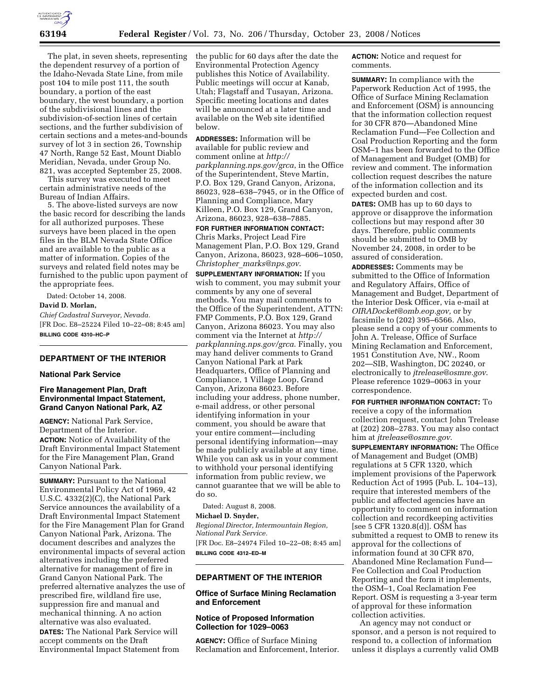

The plat, in seven sheets, representing the dependent resurvey of a portion of the Idaho-Nevada State Line, from mile post 104 to mile post 111, the south boundary, a portion of the east boundary, the west boundary, a portion of the subdivisional lines and the subdivision-of-section lines of certain sections, and the further subdivision of certain sections and a metes-and-bounds survey of lot 3 in section 26, Township 47 North, Range 52 East, Mount Diablo Meridian, Nevada, under Group No. 821, was accepted September 25, 2008.

This survey was executed to meet certain administrative needs of the Bureau of Indian Affairs.

5. The above-listed surveys are now the basic record for describing the lands for all authorized purposes. These surveys have been placed in the open files in the BLM Nevada State Office and are available to the public as a matter of information. Copies of the surveys and related field notes may be furnished to the public upon payment of the appropriate fees.

Dated: October 14, 2008.

### **David D. Morlan,**

*Chief Cadastral Surveyor, Nevada.*  [FR Doc. E8–25224 Filed 10–22–08; 8:45 am] **BILLING CODE 4310–HC–P** 

## **DEPARTMENT OF THE INTERIOR**

#### **National Park Service**

## **Fire Management Plan, Draft Environmental Impact Statement, Grand Canyon National Park, AZ**

**AGENCY:** National Park Service, Department of the Interior. **ACTION:** Notice of Availability of the Draft Environmental Impact Statement for the Fire Management Plan, Grand Canyon National Park.

**SUMMARY: Pursuant to the National** Environmental Policy Act of 1969, 42 U.S.C. 4332(2)(C), the National Park Service announces the availability of a Draft Environmental Impact Statement for the Fire Management Plan for Grand Canyon National Park, Arizona. The document describes and analyzes the environmental impacts of several action alternatives including the preferred alternative for management of fire in Grand Canyon National Park. The preferred alternative analyzes the use of prescribed fire, wildland fire use, suppression fire and manual and mechanical thinning. A no action alternative was also evaluated.

**DATES:** The National Park Service will accept comments on the Draft Environmental Impact Statement from the public for 60 days after the date the Environmental Protection Agency publishes this Notice of Availability. Public meetings will occur at Kanab, Utah; Flagstaff and Tusayan, Arizona. Specific meeting locations and dates will be announced at a later time and available on the Web site identified below.

**ADDRESSES:** Information will be available for public review and comment online at *http:// parkplanning.nps.gov/grca*, in the Office of the Superintendent, Steve Martin, P.O. Box 129, Grand Canyon, Arizona, 86023, 928–638–7945, or in the Office of Planning and Compliance, Mary Killeen, P.O. Box 129, Grand Canyon, Arizona, 86023, 928–638–7885.

**FOR FURTHER INFORMATION CONTACT:**  Chris Marks, Project Lead Fire Management Plan, P.O. Box 129, Grand Canyon, Arizona, 86023, 928–606–1050, *Christopher*\_*marks@nps.gov*.

**SUPPLEMENTARY INFORMATION:** If you wish to comment, you may submit your comments by any one of several methods. You may mail comments to the Office of the Superintendent, ATTN: FMP Comments, P.O. Box 129, Grand Canyon, Arizona 86023. You may also comment via the Internet at *http:// parkplanning.nps.gov/grca*. Finally, you may hand deliver comments to Grand Canyon National Park at Park Headquarters, Office of Planning and Compliance, 1 Village Loop, Grand Canyon, Arizona 86023. Before including your address, phone number, e-mail address, or other personal identifying information in your comment, you should be aware that your entire comment—including personal identifying information—may be made publicly available at any time. While you can ask us in your comment to withhold your personal identifying information from public review, we cannot guarantee that we will be able to do so.

Dated: August 8, 2008.

## **Michael D. Snyder,**

*Regional Director, Intermountain Region, National Park Service.*  [FR Doc. E8–24974 Filed 10–22–08; 8:45 am] **BILLING CODE 4312–ED–M** 

## **DEPARTMENT OF THE INTERIOR**

### **Office of Surface Mining Reclamation and Enforcement**

## **Notice of Proposed Information Collection for 1029–0063**

**AGENCY:** Office of Surface Mining Reclamation and Enforcement, Interior. **ACTION:** Notice and request for comments.

**SUMMARY:** In compliance with the Paperwork Reduction Act of 1995, the Office of Surface Mining Reclamation and Enforcement (OSM) is announcing that the information collection request for 30 CFR 870—Abandoned Mine Reclamation Fund—Fee Collection and Coal Production Reporting and the form OSM–1 has been forwarded to the Office of Management and Budget (OMB) for review and comment. The information collection request describes the nature of the information collection and its expected burden and cost.

**DATES:** OMB has up to 60 days to approve or disapprove the information collections but may respond after 30 days. Therefore, public comments should be submitted to OMB by November 24, 2008, in order to be assured of consideration.

**ADDRESSES:** Comments may be submitted to the Office of Information and Regulatory Affairs, Office of Management and Budget, Department of the Interior Desk Officer, via e-mail at *OIRADocket@omb.eop.gov,* or by facsimile to (202) 395–6566. Also, please send a copy of your comments to John A. Trelease, Office of Surface Mining Reclamation and Enforcement, 1951 Constitution Ave, NW., Room 202—SIB, Washington, DC 20240, or electronically to *jtrelease@osmre.gov*. Please reference 1029–0063 in your correspondence.

**FOR FURTHER INFORMATION CONTACT:** To receive a copy of the information collection request, contact John Trelease at (202) 208–2783. You may also contact him at *jtrelease@osmre.gov*.

**SUPPLEMENTARY INFORMATION:** The Office of Management and Budget (OMB) regulations at 5 CFR 1320, which implement provisions of the Paperwork Reduction Act of 1995 (Pub. L. 104–13), require that interested members of the public and affected agencies have an opportunity to comment on information collection and recordkeeping activities [see 5 CFR 1320.8(d)]. OSM has submitted a request to OMB to renew its approval for the collections of information found at 30 CFR 870, Abandoned Mine Reclamation Fund— Fee Collection and Coal Production Reporting and the form it implements, the OSM–1, Coal Reclamation Fee Report. OSM is requesting a 3-year term of approval for these information collection activities.

An agency may not conduct or sponsor, and a person is not required to respond to, a collection of information unless it displays a currently valid OMB